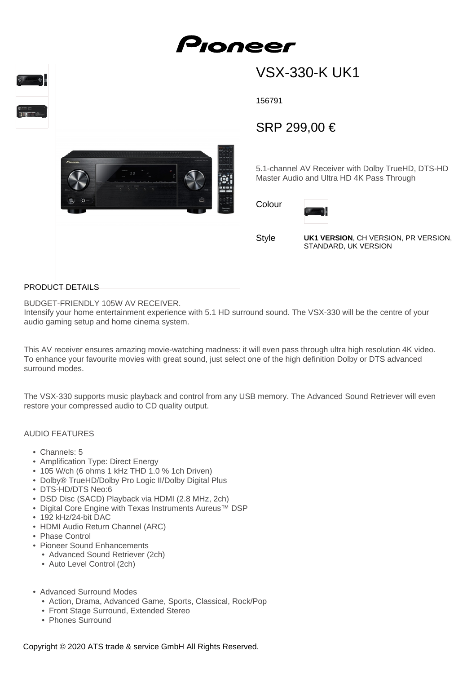





# VSX-330-K UK1

156791

## SRP 299,00 €

5.1-channel AV Receiver with Dolby TrueHD, DTS-HD Master Audio and Ultra HD 4K Pass Through

Colour



Style

**UK1 VERSION**, CH VERSION, PR VERSION, STANDARD, UK VERSION

#### PRODUCT DETAILS

BUDGET-FRIENDLY 105W AV RECEIVER.

Intensify your home entertainment experience with 5.1 HD surround sound. The VSX-330 will be the centre of your audio gaming setup and home cinema system.

This AV receiver ensures amazing movie-watching madness: it will even pass through ultra high resolution 4K video. To enhance your favourite movies with great sound, just select one of the high definition Dolby or DTS advanced surround modes.

The VSX-330 supports music playback and control from any USB memory. The Advanced Sound Retriever will even restore your compressed audio to CD quality output.

#### AUDIO FEATURES

- Channels: 5
- Amplification Type: Direct Energy
- 105 W/ch (6 ohms 1 kHz THD 1.0 % 1ch Driven)
- Dolby® TrueHD/Dolby Pro Logic II/Dolby Digital Plus
- DTS-HD/DTS Neo:6
- DSD Disc (SACD) Playback via HDMI (2.8 MHz, 2ch)
- Digital Core Engine with Texas Instruments Aureus™ DSP
- 192 kHz/24-bit DAC
- HDMI Audio Return Channel (ARC)
- Phase Control
- Pioneer Sound Enhancements
	- Advanced Sound Retriever (2ch)
	- Auto Level Control (2ch)
- Advanced Surround Modes
	- Action, Drama, Advanced Game, Sports, Classical, Rock/Pop
	- Front Stage Surround, Extended Stereo
	- Phones Surround

Copyright © 2020 ATS trade & service GmbH All Rights Reserved.